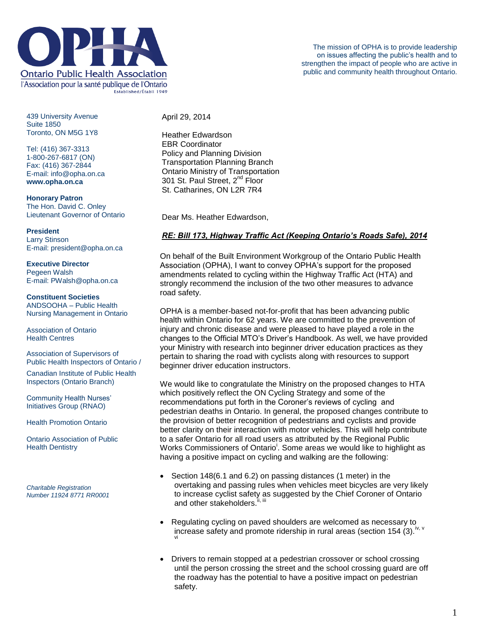

439 University Avenue Suite 1850 Toronto, ON M5G 1Y8

Tel: (416) 367-3313 1-800-267-6817 (ON) Fax: (416) 367-2844 E-mail: info@opha.on.ca **www.opha.on.ca**

**Honorary Patron** The Hon. David C. Onley Lieutenant Governor of Ontario

**President** Larry Stinson

E-mail: president@opha.on.ca

**Executive Director** Pegeen Walsh E-mail: PWalsh@opha.on.ca

## **Constituent Societies**

ANDSOOHA – Public Health Nursing Management in Ontario

Association of Ontario Health Centres

Association of Supervisors of Public Health Inspectors of Ontario /

Canadian Institute of Public Health Inspectors (Ontario Branch)

Community Health Nurses' Initiatives Group (RNAO)

Health Promotion Ontario

Ontario Association of Public **Health Dentistry** 

*Charitable Registration Number 11924 8771 RR0001* April 29, 2014

Heather Edwardson EBR Coordinator Policy and Planning Division Transportation Planning Branch Ontario Ministry of Transportation 301 St. Paul Street, 2<sup>nd</sup> Floor St. Catharines, ON L2R 7R4

Dear Ms. Heather Edwardson,

## *RE: Bill 173, Highway Traffic Act (Keeping Ontario's Roads Safe), 2014*

On behalf of the Built Environment Workgroup of the Ontario Public Health Association (OPHA), I want to convey OPHA's support for the proposed amendments related to cycling within the Highway Traffic Act (HTA) and strongly recommend the inclusion of the two other measures to advance road safety.

OPHA is a member-based not-for-profit that has been advancing public health within Ontario for 62 years. We are committed to the prevention of injury and chronic disease and were pleased to have played a role in the changes to the Official MTO's Driver's Handbook. As well, we have provided your Ministry with research into beginner driver education practices as they pertain to sharing the road with cyclists along with resources to support beginner driver education instructors.

We would like to congratulate the Ministry on the proposed changes to HTA which positively reflect the ON Cycling Strategy and some of the recommendations put forth in the Coroner's reviews of cycling and pedestrian deaths in Ontario. In general, the proposed changes contribute to the provision of better recognition of pedestrians and cyclists and provide better clarity on their interaction with motor vehicles. This will help contribute to a safer Ontario for all road users as attributed by the Regional Public Works Commissioners of Ontario<sup>i</sup>. Some areas we would like to highlight as having a positive impact on cycling and walking are the following:

- Section 148(6.1 and 6.2) on passing distances (1 meter) in the overtaking and passing rules when vehicles meet bicycles are very likely to increase cyclist safety as suggested by the Chief Coroner of Ontario and other stakeholders.
- Regulating cycling on paved shoulders are welcomed as necessary to increase safety and promote ridership in rural areas (section 154 (3). $^{\mathsf{iv},\,\mathsf{v}}$
- Drivers to remain stopped at a pedestrian crossover or school crossing until the person crossing the street and the school crossing guard are off the roadway has the potential to have a positive impact on pedestrian safety.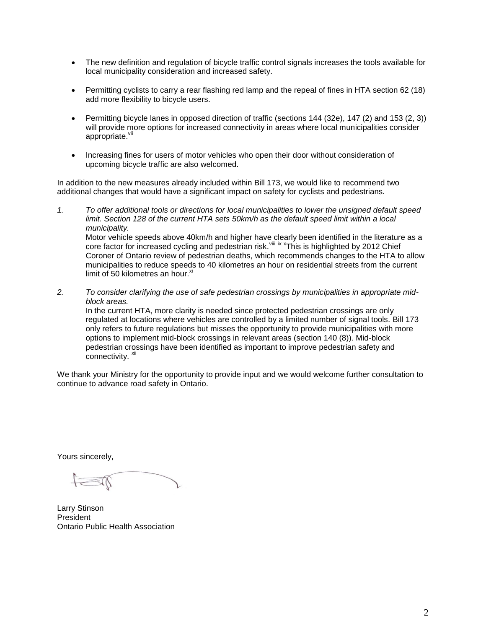- The new definition and regulation of bicycle traffic control signals increases the tools available for local municipality consideration and increased safety.
- Permitting cyclists to carry a rear flashing red lamp and the repeal of fines in HTA section 62 (18) add more flexibility to bicycle users.
- Permitting bicycle lanes in opposed direction of traffic (sections 144 (32e), 147 (2) and 153 (2, 3)) will provide more options for increased connectivity in areas where local municipalities consider appropriate.<sup>vii</sup>
- Increasing fines for users of motor vehicles who open their door without consideration of upcoming bicycle traffic are also welcomed.

In addition to the new measures already included within Bill 173, we would like to recommend two additional changes that would have a significant impact on safety for cyclists and pedestrians.

- *1. To offer additional tools or directions for local municipalities to lower the unsigned default speed limit. Section 128 of the current HTA sets 50km/h as the default speed limit within a local municipality.*  Motor vehicle speeds above 40km/h and higher have clearly been identified in the literature as a core factor for increased cycling and pedestrian risk.<sup>viii ix x</sup>This is highlighted by 2012 Chief Coroner of Ontario review of pedestrian deaths, which recommends changes to the HTA to allow municipalities to reduce speeds to 40 kilometres an hour on residential streets from the current limit of 50 kilometres an hour. $x_i$
- *2. To consider clarifying the use of safe pedestrian crossings by municipalities in appropriate midblock areas.*  In the current HTA, more clarity is needed since protected pedestrian crossings are only

regulated at locations where vehicles are controlled by a limited number of signal tools. Bill 173 only refers to future regulations but misses the opportunity to provide municipalities with more options to implement mid-block crossings in relevant areas (section 140 (8)). Mid-block pedestrian crossings have been identified as important to improve pedestrian safety and .<br>connectivity. <sup>xii</sup>

We thank your Ministry for the opportunity to provide input and we would welcome further consultation to continue to advance road safety in Ontario.

Yours sincerely,

Larry Stinson President Ontario Public Health Association